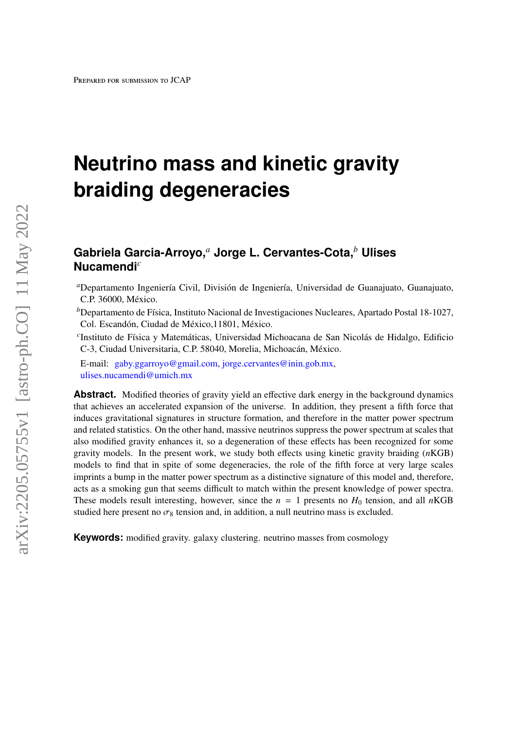# **Neutrino mass and kinetic gravity braiding degeneracies**

# **Gabriela Garcia-Arroyo,***<sup>a</sup>* **Jorge L. Cervantes-Cota,***<sup>b</sup>* **Ulises Nucamendi***<sup>c</sup>*

*<sup>a</sup>*Departamento Ingeniería Civil, División de Ingeniería, Universidad de Guanajuato, Guanajuato, C.P. 36000, México.

<sup>b</sup>Departamento de Física, Instituto Nacional de Investigaciones Nucleares, Apartado Postal 18-1027, Col. Escandón, Ciudad de México,11801, México.

*c* Instituto de Física y Matemáticas, Universidad Michoacana de San Nicolás de Hidalgo, Edificio C-3, Ciudad Universitaria, C.P. 58040, Morelia, Michoacán, México.

E-mail: [gaby.ggarroyo@gmail.com,](mailto: gaby.ggarroyo@gmail.com) [jorge.cervantes@inin.gob.mx,](mailto:jorge.cervantes@inin.gob.mx) [ulises.nucamendi@umich.mx](mailto:ulises.nucamendi@umich.mx)

**Abstract.** Modified theories of gravity yield an effective dark energy in the background dynamics that achieves an accelerated expansion of the universe. In addition, they present a fifth force that induces gravitational signatures in structure formation, and therefore in the matter power spectrum and related statistics. On the other hand, massive neutrinos suppress the power spectrum at scales that also modified gravity enhances it, so a degeneration of these effects has been recognized for some gravity models. In the present work, we study both effects using kinetic gravity braiding (*n*KGB) models to find that in spite of some degeneracies, the role of the fifth force at very large scales imprints a bump in the matter power spectrum as a distinctive signature of this model and, therefore, acts as a smoking gun that seems difficult to match within the present knowledge of power spectra. These models result interesting, however, since the  $n = 1$  presents no  $H_0$  tension, and all *n*KGB studied here present no  $\sigma_8$  tension and, in addition, a null neutrino mass is excluded.

**Keywords:** modified gravity. galaxy clustering. neutrino masses from cosmology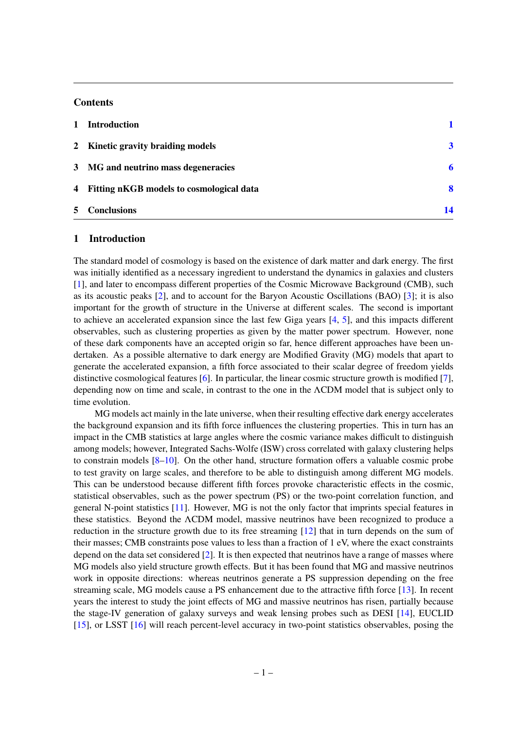# **Contents**

| $\mathbf{1}$   | <b>Introduction</b>                        |    |
|----------------|--------------------------------------------|----|
|                | 2 Kinetic gravity braiding models          | 3  |
|                | 3 MG and neutrino mass degeneracies        |    |
|                | 4 Fitting nKGB models to cosmological data | 8  |
| 5 <sup>5</sup> | <b>Conclusions</b>                         | 14 |

#### <span id="page-1-0"></span>1 Introduction

The standard model of cosmology is based on the existence of dark matter and dark energy. The first was initially identified as a necessary ingredient to understand the dynamics in galaxies and clusters [\[1\]](#page-15-0), and later to encompass different properties of the Cosmic Microwave Background (CMB), such as its acoustic peaks [\[2\]](#page-15-1), and to account for the Baryon Acoustic Oscillations (BAO) [\[3\]](#page-15-2); it is also important for the growth of structure in the Universe at different scales. The second is important to achieve an accelerated expansion since the last few Giga years [\[4,](#page-15-3) [5\]](#page-15-4), and this impacts different observables, such as clustering properties as given by the matter power spectrum. However, none of these dark components have an accepted origin so far, hence different approaches have been undertaken. As a possible alternative to dark energy are Modified Gravity (MG) models that apart to generate the accelerated expansion, a fifth force associated to their scalar degree of freedom yields distinctive cosmological features [\[6\]](#page-15-5). In particular, the linear cosmic structure growth is modified [\[7\]](#page-15-6), depending now on time and scale, in contrast to the one in the ΛCDM model that is subject only to time evolution.

MG models act mainly in the late universe, when their resulting effective dark energy accelerates the background expansion and its fifth force influences the clustering properties. This in turn has an impact in the CMB statistics at large angles where the cosmic variance makes difficult to distinguish among models; however, Integrated Sachs-Wolfe (ISW) cross correlated with galaxy clustering helps to constrain models [\[8](#page-15-7)[–10\]](#page-15-8). On the other hand, structure formation offers a valuable cosmic probe to test gravity on large scales, and therefore to be able to distinguish among different MG models. This can be understood because different fifth forces provoke characteristic effects in the cosmic, statistical observables, such as the power spectrum (PS) or the two-point correlation function, and general N-point statistics [\[11\]](#page-15-9). However, MG is not the only factor that imprints special features in these statistics. Beyond the ΛCDM model, massive neutrinos have been recognized to produce a reduction in the structure growth due to its free streaming [\[12\]](#page-15-10) that in turn depends on the sum of their masses; CMB constraints pose values to less than a fraction of 1 eV, where the exact constraints depend on the data set considered [\[2\]](#page-15-1). It is then expected that neutrinos have a range of masses where MG models also yield structure growth effects. But it has been found that MG and massive neutrinos work in opposite directions: whereas neutrinos generate a PS suppression depending on the free streaming scale, MG models cause a PS enhancement due to the attractive fifth force [\[13\]](#page-15-11). In recent years the interest to study the joint effects of MG and massive neutrinos has risen, partially because the stage-IV generation of galaxy surveys and weak lensing probes such as DESI [\[14\]](#page-15-12), EUCLID [\[15\]](#page-15-13), or LSST [\[16\]](#page-16-0) will reach percent-level accuracy in two-point statistics observables, posing the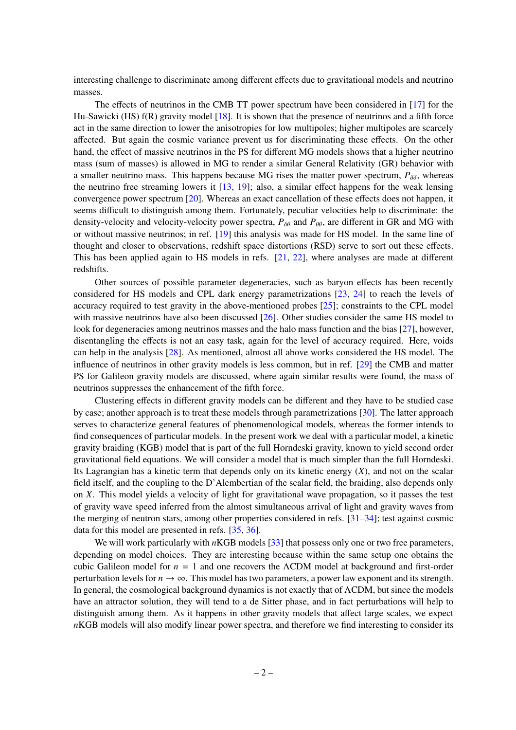interesting challenge to discriminate among different effects due to gravitational models and neutrino masses.

The effects of neutrinos in the CMB TT power spectrum have been considered in [\[17\]](#page-16-1) for the Hu-Sawicki (HS) f(R) gravity model [\[18\]](#page-16-2). It is shown that the presence of neutrinos and a fifth force act in the same direction to lower the anisotropies for low multipoles; higher multipoles are scarcely affected. But again the cosmic variance prevent us for discriminating these effects. On the other hand, the effect of massive neutrinos in the PS for different MG models shows that a higher neutrino mass (sum of masses) is allowed in MG to render a similar General Relativity (GR) behavior with a smaller neutrino mass. This happens because MG rises the matter power spectrum,  $P_{\delta\delta}$ , whereas the neutrino free streaming lowers it [\[13,](#page-15-11) [19\]](#page-16-3); also, a similar effect happens for the weak lensing convergence power spectrum [\[20\]](#page-16-4). Whereas an exact cancellation of these effects does not happen, it seems difficult to distinguish among them. Fortunately, peculiar velocities help to discriminate: the density-velocity and velocity-velocity power spectra,  $P_{\delta\theta}$  and  $P_{\theta\theta}$ , are different in GR and MG with or without massive neutrinos; in ref. [\[19\]](#page-16-3) this analysis was made for HS model. In the same line of thought and closer to observations, redshift space distortions (RSD) serve to sort out these effects. This has been applied again to HS models in refs. [\[21,](#page-16-5) [22\]](#page-16-6), where analyses are made at different redshifts.

Other sources of possible parameter degeneracies, such as baryon effects has been recently considered for HS models and CPL dark energy parametrizations [\[23,](#page-16-7) [24\]](#page-16-8) to reach the levels of accuracy required to test gravity in the above-mentioned probes [\[25\]](#page-16-9); constraints to the CPL model with massive neutrinos have also been discussed  $[26]$ . Other studies consider the same HS model to look for degeneracies among neutrinos masses and the halo mass function and the bias [\[27\]](#page-16-11), however, disentangling the effects is not an easy task, again for the level of accuracy required. Here, voids can help in the analysis [\[28\]](#page-16-12). As mentioned, almost all above works considered the HS model. The influence of neutrinos in other gravity models is less common, but in ref. [\[29\]](#page-16-13) the CMB and matter PS for Galileon gravity models are discussed, where again similar results were found, the mass of neutrinos suppresses the enhancement of the fifth force.

Clustering effects in different gravity models can be different and they have to be studied case by case; another approach is to treat these models through parametrizations [\[30\]](#page-16-14). The latter approach serves to characterize general features of phenomenological models, whereas the former intends to find consequences of particular models. In the present work we deal with a particular model, a kinetic gravity braiding (KGB) model that is part of the full Horndeski gravity, known to yield second order gravitational field equations. We will consider a model that is much simpler than the full Horndeski. Its Lagrangian has a kinetic term that depends only on its kinetic energy (*X*), and not on the scalar field itself, and the coupling to the D'Alembertian of the scalar field, the braiding, also depends only on *X*. This model yields a velocity of light for gravitational wave propagation, so it passes the test of gravity wave speed inferred from the almost simultaneous arrival of light and gravity waves from the merging of neutron stars, among other properties considered in refs. [\[31–](#page-16-15)[34\]](#page-16-16); test against cosmic data for this model are presented in refs. [\[35,](#page-16-17) [36\]](#page-17-0).

We will work particularly with *n*KGB models [\[33\]](#page-16-18) that possess only one or two free parameters, depending on model choices. They are interesting because within the same setup one obtains the cubic Galileon model for *n* = 1 and one recovers the ΛCDM model at background and first-order perturbation levels for  $n \to \infty$ . This model has two parameters, a power law exponent and its strength. In general, the cosmological background dynamics is not exactly that of ΛCDM, but since the models have an attractor solution, they will tend to a de Sitter phase, and in fact perturbations will help to distinguish among them. As it happens in other gravity models that affect large scales, we expect *n*KGB models will also modify linear power spectra, and therefore we find interesting to consider its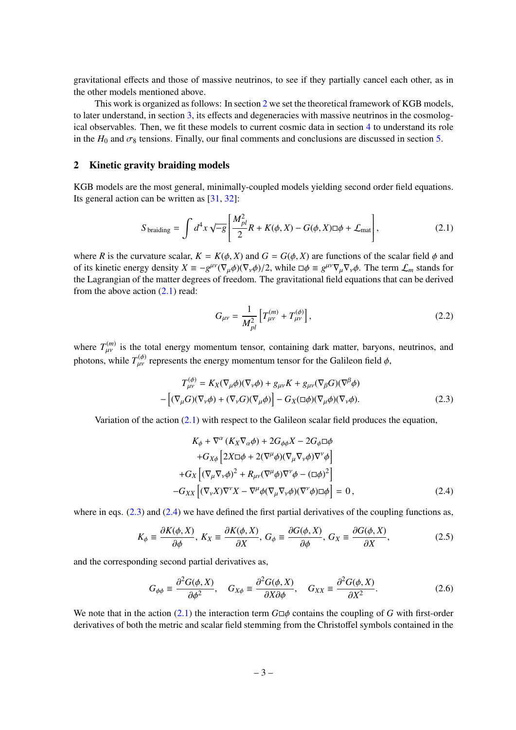gravitational effects and those of massive neutrinos, to see if they partially cancel each other, as in the other models mentioned above.

This work is organized as follows: In section [2](#page-3-0) we set the theoretical framework of KGB models, to later understand, in section [3,](#page-6-0) its effects and degeneracies with massive neutrinos in the cosmological observables. Then, we fit these models to current cosmic data in section [4](#page-8-0) to understand its role in the  $H_0$  and  $\sigma_8$  tensions. Finally, our final comments and conclusions are discussed in section [5.](#page-14-0)

# <span id="page-3-0"></span>2 Kinetic gravity braiding models

KGB models are the most general, minimally-coupled models yielding second order field equations. Its general action can be written as [\[31,](#page-16-15) [32\]](#page-16-19):

<span id="page-3-1"></span>
$$
S_{\text{braiding}} = \int d^4x \sqrt{-g} \left[ \frac{M_{pl}^2}{2} R + K(\phi, X) - G(\phi, X) \Box \phi + \mathcal{L}_{\text{mat}} \right],\tag{2.1}
$$

where *R* is the curvature scalar,  $K = K(\phi, X)$  and  $G = G(\phi, X)$  are functions of the scalar field  $\phi$  and of its kinetic energy density  $X = -g^{\mu\nu}(\nabla_{\mu}\phi)(\nabla_{\nu}\phi)/2$ , while  $\Box \phi \equiv g^{\mu\nu}\nabla_{\mu}\nabla_{\nu}\phi$ . The term  $\mathcal{L}_m$  stands for the Lagrangian of the matter degrees of freedom. The gravitational field equations that can be derived from the above action  $(2.1)$  read:

$$
G_{\mu\nu} = \frac{1}{M_{pl}^2} \left[ T_{\mu\nu}^{(m)} + T_{\mu\nu}^{(\phi)} \right],
$$
 (2.2)

where  $T_{\mu\nu}^{(m)}$  is the total energy momentum tensor, containing dark matter, baryons, neutrinos, and photons, while  $T_{\mu\nu}^{(\phi)}$  represents the energy momentum tensor for the Galileon field  $\phi$ ,

<span id="page-3-2"></span>
$$
T_{\mu\nu}^{(\phi)} = K_X(\nabla_{\mu}\phi)(\nabla_{\nu}\phi) + g_{\mu\nu}K + g_{\mu\nu}(\nabla_{\beta}G)(\nabla^{\beta}\phi)
$$

$$
-[(\nabla_{\mu}G)(\nabla_{\nu}\phi) + (\nabla_{\nu}G)(\nabla_{\mu}\phi)] - G_X(\Box\phi)(\nabla_{\mu}\phi)(\nabla_{\nu}\phi).
$$
(2.3)

Variation of the action [\(2.1\)](#page-3-1) with respect to the Galileon scalar field produces the equation,

<span id="page-3-3"></span>
$$
K_{\phi} + \nabla^{\alpha} (K_{X} \nabla_{\alpha} \phi) + 2G_{\phi\phi} X - 2G_{\phi} \Box \phi
$$
  
+
$$
G_{X\phi} \left[ 2X \Box \phi + 2(\nabla^{\mu} \phi)(\nabla_{\mu} \nabla_{\nu} \phi) \nabla^{\nu} \phi \right]
$$
  
+
$$
G_{X} \left[ (\nabla_{\mu} \nabla_{\nu} \phi)^{2} + R_{\mu\nu} (\nabla^{\mu} \phi) \nabla^{\nu} \phi - (\Box \phi)^{2} \right]
$$
  
-
$$
G_{XX} \left[ (\nabla_{\nu} X) \nabla^{\nu} X - \nabla^{\mu} \phi (\nabla_{\mu} \nabla_{\nu} \phi)(\nabla^{\nu} \phi) \Box \phi \right] = 0, \qquad (2.4)
$$

where in eqs.  $(2.3)$  and  $(2.4)$  we have defined the first partial derivatives of the coupling functions as,

$$
K_{\phi} \equiv \frac{\partial K(\phi, X)}{\partial \phi}, \ K_X \equiv \frac{\partial K(\phi, X)}{\partial X}, \ G_{\phi} \equiv \frac{\partial G(\phi, X)}{\partial \phi}, \ G_X \equiv \frac{\partial G(\phi, X)}{\partial X}, \tag{2.5}
$$

and the corresponding second partial derivatives as,

$$
G_{\phi\phi} \equiv \frac{\partial^2 G(\phi, X)}{\partial \phi^2}, \quad G_{X\phi} \equiv \frac{\partial^2 G(\phi, X)}{\partial X \partial \phi}, \quad G_{XX} \equiv \frac{\partial^2 G(\phi, X)}{\partial X^2}.
$$
 (2.6)

We note that in the action [\(2.1\)](#page-3-1) the interaction term  $G \Box \phi$  contains the coupling of *G* with first-order derivatives of both the metric and scalar field stemming from the Christoffel symbols contained in the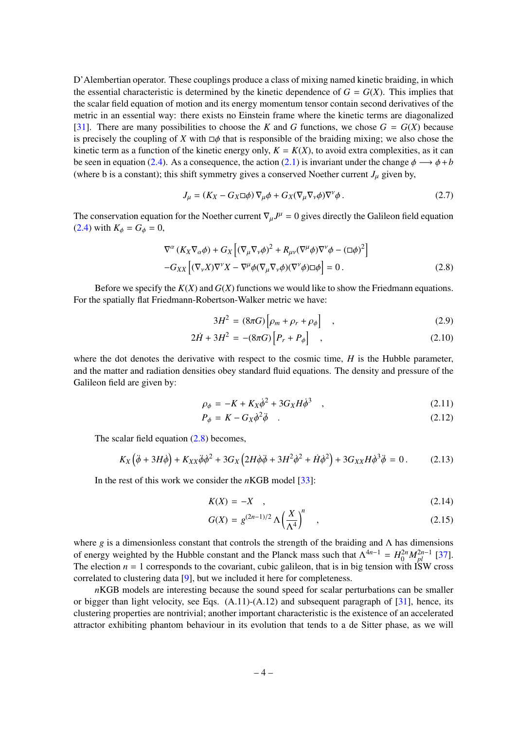D'Alembertian operator. These couplings produce a class of mixing named kinetic braiding, in which the essential characteristic is determined by the kinetic dependence of  $G = G(X)$ . This implies that the scalar field equation of motion and its energy momentum tensor contain second derivatives of the metric in an essential way: there exists no Einstein frame where the kinetic terms are diagonalized [\[31\]](#page-16-15). There are many possibilities to choose the *K* and *G* functions, we chose  $G = G(X)$  because is precisely the coupling of *X* with  $\Box \phi$  that is responsible of the braiding mixing; we also chose the kinetic term as a function of the kinetic energy only,  $K = K(X)$ , to avoid extra complexities, as it can be seen in equation [\(2.4\)](#page-3-3). As a consequence, the action [\(2.1\)](#page-3-1) is invariant under the change  $\phi \rightarrow \phi + b$ (where b is a constant); this shift symmetry gives a conserved Noether current  $J_\mu$  given by,

<span id="page-4-1"></span>
$$
J_{\mu} = (K_X - G_X \Box \phi) \nabla_{\mu} \phi + G_X (\nabla_{\mu} \nabla_{\nu} \phi) \nabla^{\nu} \phi.
$$
 (2.7)

The conservation equation for the Noether current  $\nabla_{\mu}J^{\mu} = 0$  gives directly the Galileon field equation  $(2, 4)$  with  $K = C = 0$ [\(2.4\)](#page-3-3) with  $K_{\phi} = G_{\phi} = 0$ ,

<span id="page-4-0"></span>
$$
\nabla^{\alpha} (K_X \nabla_{\alpha} \phi) + G_X \left[ (\nabla_{\mu} \nabla_{\nu} \phi)^2 + R_{\mu\nu} (\nabla^{\mu} \phi) \nabla^{\nu} \phi - (\Box \phi)^2 \right] - G_{XX} \left[ (\nabla_{\nu} X) \nabla^{\nu} X - \nabla^{\mu} \phi (\nabla_{\mu} \nabla_{\nu} \phi) (\nabla^{\nu} \phi) \Box \phi \right] = 0.
$$
 (2.8)

Before we specify the *K*(*X*) and *G*(*X*) functions we would like to show the Friedmann equations. For the spatially flat Friedmann-Robertson-Walker metric we have:

$$
3H^2 = (8\pi G) \left[ \rho_m + \rho_r + \rho_\phi \right] \quad , \tag{2.9}
$$

$$
2\dot{H} + 3H^2 = -(8\pi G)\Big[P_r + P_{\phi}\Big] \quad , \tag{2.10}
$$

where the dot denotes the derivative with respect to the cosmic time, *H* is the Hubble parameter, and the matter and radiation densities obey standard fluid equations. The density and pressure of the Galileon field are given by:

$$
\rho_{\phi} = -K + K_X \dot{\phi}^2 + 3G_X H \dot{\phi}^3 \quad , \tag{2.11}
$$

$$
P_{\phi} = K - G_X \dot{\phi}^2 \ddot{\phi} \quad . \tag{2.12}
$$

The scalar field equation [\(2.8\)](#page-4-0) becomes,

$$
K_X(\ddot{\phi} + 3H\dot{\phi}) + K_{XX}\ddot{\phi}\dot{\phi}^2 + 3G_X\left(2H\dot{\phi}\ddot{\phi} + 3H^2\dot{\phi}^2 + \dot{H}\dot{\phi}^2\right) + 3G_{XX}H\dot{\phi}^3\ddot{\phi} = 0. \qquad (2.13)
$$

In the rest of this work we consider the *n*KGB model [\[33\]](#page-16-18):

<span id="page-4-2"></span>
$$
K(X) = -X \quad , \tag{2.14}
$$

$$
G(X) = g^{(2n-1)/2} \Lambda \left(\frac{X}{\Lambda^4}\right)^n \quad , \tag{2.15}
$$

where *g* is a dimensionless constant that controls the strength of the braiding and Λ has dimensions of energy weighted by the Hubble constant and the Planck mass such that  $\Lambda^{4n-1} = H_0^{2n} M_{pl}^{2n-1}$  [\[37\]](#page-17-1). The election  $n = 1$  corresponds to the covariant, cubic galileon, that is in big tension with ISW cross correlated to clustering data [\[9\]](#page-15-14), but we included it here for completeness.

*n*KGB models are interesting because the sound speed for scalar perturbations can be smaller or bigger than light velocity, see Eqs. (A.11)-(A.12) and subsequent paragraph of [\[31\]](#page-16-15), hence, its clustering properties are nontrivial; another important characteristic is the existence of an accelerated attractor exhibiting phantom behaviour in its evolution that tends to a de Sitter phase, as we will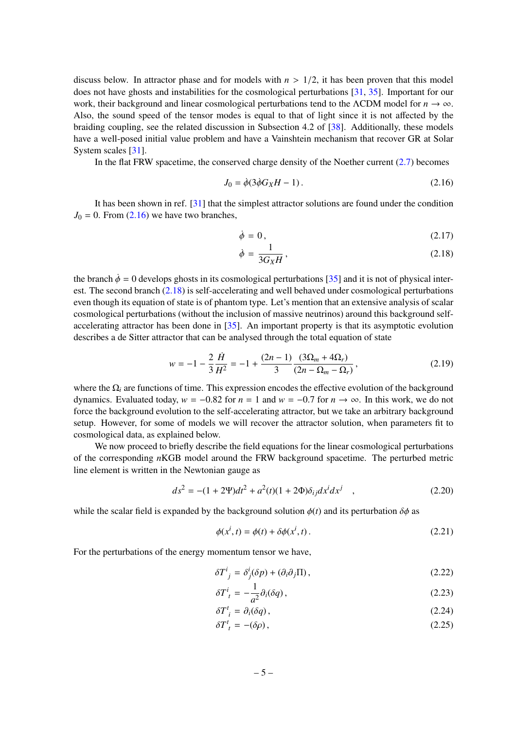discuss below. In attractor phase and for models with  $n > 1/2$ , it has been proven that this model does not have ghosts and instabilities for the cosmological perturbations [\[31,](#page-16-15) [35\]](#page-16-17). Important for our work, their background and linear cosmological perturbations tend to the ΛCDM model for  $n \to \infty$ . Also, the sound speed of the tensor modes is equal to that of light since it is not affected by the braiding coupling, see the related discussion in Subsection 4.2 of [\[38\]](#page-17-2). Additionally, these models have a well-posed initial value problem and have a Vainshtein mechanism that recover GR at Solar System scales [\[31\]](#page-16-15).

In the flat FRW spacetime, the conserved charge density of the Noether current  $(2.7)$  becomes

<span id="page-5-0"></span>
$$
J_0 = \dot{\phi}(3\dot{\phi}G_XH - 1). \tag{2.16}
$$

It has been shown in ref. [\[31\]](#page-16-15) that the simplest attractor solutions are found under the condition  $J_0 = 0$ . From  $(2.16)$  we have two branches,

<span id="page-5-1"></span>
$$
\dot{\phi} = 0, \tag{2.17}
$$

$$
\dot{\phi} = \frac{1}{3G_X H},\tag{2.18}
$$

the branch  $\dot{\phi} = 0$  develops ghosts in its cosmological perturbations [\[35\]](#page-16-17) and it is not of physical interest. The second branch [\(2.18\)](#page-5-1) is self-accelerating and well behaved under cosmological perturbations even though its equation of state is of phantom type. Let's mention that an extensive analysis of scalar cosmological perturbations (without the inclusion of massive neutrinos) around this background selfaccelerating attractor has been done in [\[35\]](#page-16-17). An important property is that its asymptotic evolution describes a de Sitter attractor that can be analysed through the total equation of state

<span id="page-5-2"></span>
$$
w = -1 - \frac{2}{3} \frac{\dot{H}}{H^2} = -1 + \frac{(2n-1)}{3} \frac{(3\Omega_m + 4\Omega_r)}{(2n - \Omega_m - \Omega_r)},
$$
\n(2.19)

where the  $\Omega_i$  are functions of time. This expression encodes the effective evolution of the background dynamics. Evaluated today,  $w = -0.82$  for  $n = 1$  and  $w = -0.7$  for  $n \to \infty$ . In this work, we do not force the background evolution to the self-accelerating attractor, but we take an arbitrary background setup. However, for some of models we will recover the attractor solution, when parameters fit to cosmological data, as explained below.

We now proceed to briefly describe the field equations for the linear cosmological perturbations of the corresponding *n*KGB model around the FRW background spacetime. The perturbed metric line element is written in the Newtonian gauge as

$$
ds^{2} = -(1 + 2\Psi)dt^{2} + a^{2}(t)(1 + 2\Phi)\delta_{ij}dx^{i}dx^{j} , \qquad (2.20)
$$

while the scalar field is expanded by the background solution  $\phi(t)$  and its perturbation  $\delta\phi$  as

$$
\phi(x^i, t) = \phi(t) + \delta\phi(x^i, t).
$$
\n(2.21)

For the perturbations of the energy momentum tensor we have,

$$
\delta T^i_{\ j} = \delta^i_j(\delta p) + (\partial_i \partial_j \Pi), \tag{2.22}
$$

$$
\delta T^i_{\ t} = -\frac{1}{a^2} \partial_i(\delta q) \,, \tag{2.23}
$$

$$
\delta T^t_i = \partial_i(\delta q),\tag{2.24}
$$

$$
\delta T^t_{\ t} = -(\delta \rho) \,, \tag{2.25}
$$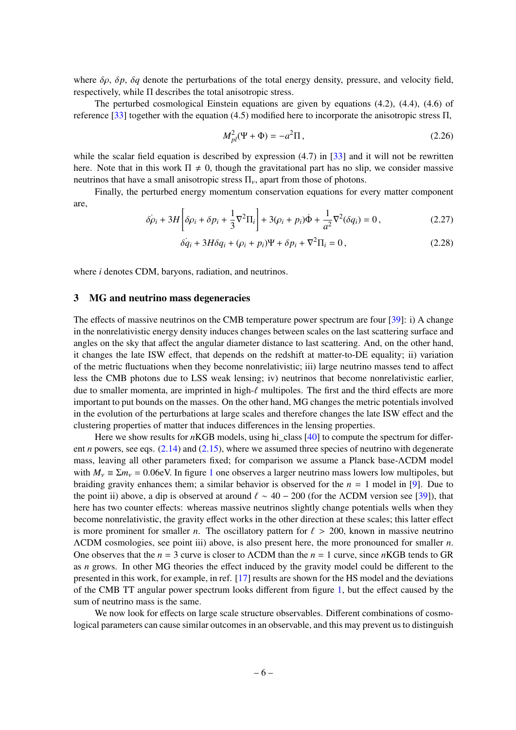where δρ, δ*p*, δ*<sup>q</sup>* denote the perturbations of the total energy density, pressure, and velocity field, respectively, while Π describes the total anisotropic stress.

The perturbed cosmological Einstein equations are given by equations (4.2), (4.4), (4.6) of reference [\[33\]](#page-16-18) together with the equation (4.5) modified here to incorporate the anisotropic stress Π,

$$
M_{pl}^2(\Psi + \Phi) = -a^2 \Pi,
$$
\n(2.26)

while the scalar field equation is described by expression  $(4.7)$  in [\[33\]](#page-16-18) and it will not be rewritten here. Note that in this work  $\Pi \neq 0$ , though the gravitational part has no slip, we consider massive neutrinos that have a small anisotropic stress  $\Pi_{\nu}$ , apart from those of photons.

Finally, the perturbed energy momentum conservation equations for every matter component are,

$$
\dot{\delta\rho_i} + 3H \left[ \delta\rho_i + \delta p_i + \frac{1}{3} \nabla^2 \Pi_i \right] + 3(\rho_i + p_i) \dot{\Phi} + \frac{1}{a^2} \nabla^2 (\delta q_i) = 0, \qquad (2.27)
$$

$$
\delta \dot{q}_i + 3H \delta q_i + (\rho_i + p_i)\Psi + \delta p_i + \nabla^2 \Pi_i = 0, \qquad (2.28)
$$

where *i* denotes CDM, baryons, radiation, and neutrinos.

#### <span id="page-6-0"></span>3 MG and neutrino mass degeneracies

The effects of massive neutrinos on the CMB temperature power spectrum are four [\[39\]](#page-17-3): i) A change in the nonrelativistic energy density induces changes between scales on the last scattering surface and angles on the sky that affect the angular diameter distance to last scattering. And, on the other hand, it changes the late ISW effect, that depends on the redshift at matter-to-DE equality; ii) variation of the metric fluctuations when they become nonrelativistic; iii) large neutrino masses tend to affect less the CMB photons due to LSS weak lensing; iv) neutrinos that become nonrelativistic earlier, due to smaller momenta, are imprinted in high- $\ell$  multipoles. The first and the third effects are more important to put bounds on the masses. On the other hand, MG changes the metric potentials involved in the evolution of the perturbations at large scales and therefore changes the late ISW effect and the clustering properties of matter that induces differences in the lensing properties.

Here we show results for *n*KGB models, using hi\_class [\[40\]](#page-17-4) to compute the spectrum for different *n* powers, see eqs. [\(2.14\)](#page-4-2) and [\(2.15\)](#page-4-2), where we assumed three species of neutrino with degenerate mass, leaving all other parameters fixed; for comparison we assume a Planck base-ΛCDM model with  $M_v \equiv \Sigma m_v = 0.06$ eV. In figure [1](#page-7-0) one observes a larger neutrino mass lowers low multipoles, but braiding gravity enhances them; a similar behavior is observed for the *n* = 1 model in [\[9\]](#page-15-14). Due to the point ii) above, a dip is observed at around  $\ell \sim 40 - 200$  (for the ΛCDM version see [\[39\]](#page-17-3)), that here has two counter effects: whereas massive neutrinos slightly change potentials wells when they become nonrelativistic, the gravity effect works in the other direction at these scales; this latter effect is more prominent for smaller *n*. The oscillatory pattern for  $\ell > 200$ , known in massive neutrino ΛCDM cosmologies, see point iii) above, is also present here, the more pronounced for smaller *n*. One observes that the *n* = 3 curve is closer to ΛCDM than the *n* = 1 curve, since *n*KGB tends to GR as *n* grows. In other MG theories the effect induced by the gravity model could be different to the presented in this work, for example, in ref. [\[17\]](#page-16-1) results are shown for the HS model and the deviations of the CMB TT angular power spectrum looks different from figure [1,](#page-7-0) but the effect caused by the sum of neutrino mass is the same.

We now look for effects on large scale structure observables. Different combinations of cosmological parameters can cause similar outcomes in an observable, and this may prevent us to distinguish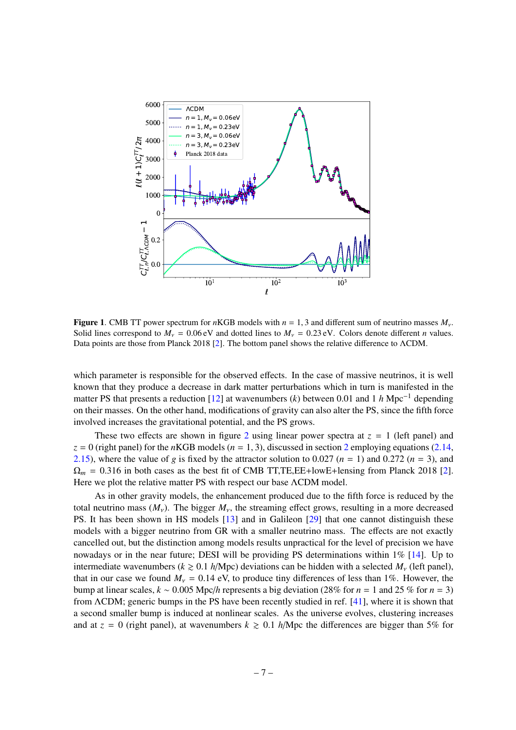

<span id="page-7-0"></span>**Figure 1.** CMB TT power spectrum for *n*KGB models with  $n = 1, 3$  and different sum of neutrino masses  $M_v$ . Solid lines correspond to  $M_v = 0.06$  eV and dotted lines to  $M_v = 0.23$  eV. Colors denote different *n* values. Data points are those from Planck 2018 [\[2\]](#page-15-1). The bottom panel shows the relative difference to ΛCDM.

which parameter is responsible for the observed effects. In the case of massive neutrinos, it is well known that they produce a decrease in dark matter perturbations which in turn is manifested in the matter PS that presents a reduction [\[12\]](#page-15-10) at wavenumbers (*k*) between 0.01 and 1 *<sup>h</sup>* Mpc−<sup>1</sup> depending on their masses. On the other hand, modifications of gravity can also alter the PS, since the fifth force involved increases the gravitational potential, and the PS grows.

These two effects are shown in figure [2](#page-9-0) using linear power spectra at  $z = 1$  (left panel) and  $z = 0$  (right panel) for the *n*KGB models ( $n = 1, 3$ ), discussed in section [2](#page-3-0) employing equations [\(2.14,](#page-4-2) [2.15\)](#page-4-2), where the value of *g* is fixed by the attractor solution to 0.027 ( $n = 1$ ) and 0.272 ( $n = 3$ ), and  $\Omega_m = 0.316$  in both cases as the best fit of CMB TT,TE,EE+lowE+lensing from Planck 2018 [\[2\]](#page-15-1). Here we plot the relative matter PS with respect our base ΛCDM model.

As in other gravity models, the enhancement produced due to the fifth force is reduced by the total neutrino mass  $(M_v)$ . The bigger  $M_v$ , the streaming effect grows, resulting in a more decreased PS. It has been shown in HS models [\[13\]](#page-15-11) and in Galileon [\[29\]](#page-16-13) that one cannot distinguish these models with a bigger neutrino from GR with a smaller neutrino mass. The effects are not exactly cancelled out, but the distinction among models results unpractical for the level of precision we have nowadays or in the near future; DESI will be providing PS determinations within 1% [\[14\]](#page-15-12). Up to intermediate wavenumbers  $(k \ge 0.1$  *h*/Mpc) deviations can be hidden with a selected  $M_v$  (left panel), that in our case we found  $M_v = 0.14$  eV, to produce tiny differences of less than 1%. However, the bump at linear scales,  $k \sim 0.005$  Mpc/h represents a big deviation (28% for  $n = 1$  and 25 % for  $n = 3$ ) from ΛCDM; generic bumps in the PS have been recently studied in ref. [\[41\]](#page-17-5), where it is shown that a second smaller bump is induced at nonlinear scales. As the universe evolves, clustering increases and at  $z = 0$  (right panel), at wavenumbers  $k \ge 0.1$  *h*/Mpc the differences are bigger than 5% for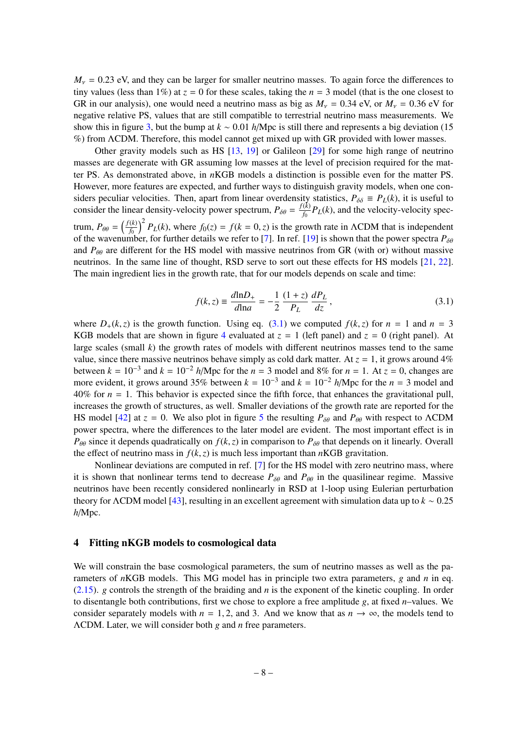$M_v$  = 0.23 eV, and they can be larger for smaller neutrino masses. To again force the differences to tiny values (less than 1%) at  $z = 0$  for these scales, taking the  $n = 3$  model (that is the one closest to GR in our analysis), one would need a neutrino mass as big as  $M_v = 0.34$  eV, or  $M_v = 0.36$  eV for negative relative PS, values that are still compatible to terrestrial neutrino mass measurements. We show this in figure [3,](#page-9-1) but the bump at *<sup>k</sup>* <sup>∼</sup> <sup>0</sup>.<sup>01</sup> *<sup>h</sup>*/Mpc is still there and represents a big deviation (15 %) from ΛCDM. Therefore, this model cannot get mixed up with GR provided with lower masses.

Other gravity models such as HS [\[13,](#page-15-11) [19\]](#page-16-3) or Galileon [\[29\]](#page-16-13) for some high range of neutrino masses are degenerate with GR assuming low masses at the level of precision required for the matter PS. As demonstrated above, in *n*KGB models a distinction is possible even for the matter PS. However, more features are expected, and further ways to distinguish gravity models, when one considers peculiar velocities. Then, apart from linear overdensity statistics,  $P_{\delta\delta} = P_L(k)$ , it is useful to consider the linear density velocity power greatry  $P_L = f(k) P_L(k)$  and the velocity velocity greatconsider the linear density-velocity power spectrum,  $P_{\delta\theta} = \frac{f(k)}{f_0}$  $\frac{K}{f_0}P_L(k)$ , and the velocity-velocity spectrum,  $P_{\theta\theta} = \left(\frac{f(k)}{f_0}\right)$  $\left(\frac{k}{f_0}\right)^2 P_L(k)$ , where  $f_0(z) = f(k = 0, z)$  is the growth rate in ΛCDM that is independent<br>where for further details we refer to [7]. In ref. [19] is shown that the power spectra  $P_{\text{sc}}$ of the wavenumber, for further details we refer to [\[7\]](#page-15-6). In ref. [\[19\]](#page-16-3) is shown that the power spectra  $P_{\delta\theta}$ and  $P_{\theta\theta}$  are different for the HS model with massive neutrinos from GR (with or) without massive neutrinos. In the same line of thought, RSD serve to sort out these effects for HS models [\[21,](#page-16-5) [22\]](#page-16-6). The main ingredient lies in the growth rate, that for our models depends on scale and time:

<span id="page-8-1"></span>
$$
f(k, z) = \frac{d \ln D_{+}}{d \ln a} = -\frac{1}{2} \frac{(1+z)}{P_L} \frac{dP_L}{dz},
$$
\n(3.1)

where  $D_+(k, z)$  is the growth function. Using eq. [\(3.1\)](#page-8-1) we computed  $f(k, z)$  for  $n = 1$  and  $n = 3$ KGB models that are shown in figure [4](#page-10-0) evaluated at  $z = 1$  (left panel) and  $z = 0$  (right panel). At large scales (small *k*) the growth rates of models with different neutrinos masses tend to the same value, since there massive neutrinos behave simply as cold dark matter. At  $z = 1$ , it grows around 4% between  $k = 10^{-3}$  and  $k = 10^{-2}$  *h*/Mpc for the  $n = 3$  model and 8% for  $n = 1$ . At  $z = 0$ , changes are more evident, it grows around 35% between  $k = 10^{-3}$  and  $k = 10^{-2}$  *h*/Mpc for the *n* = 3 model and  $40\%$  for  $n = 1$ . This behavior is expected since the fifth force, that enhances the gravitational pull. increases the growth of structures, as well. Smaller deviations of the growth rate are reported for the HS model [\[42\]](#page-17-6) at  $z = 0$ . We also plot in figure [5](#page-10-1) the resulting  $P_{\delta\theta}$  and  $P_{\theta\theta}$  with respect to ΛCDM power spectra, where the differences to the later model are evident. The most important effect is in  $P_{\theta\theta}$  since it depends quadratically on  $f(k, z)$  in comparison to  $P_{\delta\theta}$  that depends on it linearly. Overall the effect of neutrino mass in  $f(k, z)$  is much less important than *n*KGB gravitation.

Nonlinear deviations are computed in ref. [\[7\]](#page-15-6) for the HS model with zero neutrino mass, where it is shown that nonlinear terms tend to decrease  $P_{\delta\theta}$  and  $P_{\theta\theta}$  in the quasilinear regime. Massive neutrinos have been recently considered nonlinearly in RSD at 1-loop using Eulerian perturbation theory for <sup>Λ</sup>CDM model [\[43\]](#page-17-7), resulting in an excellent agreement with simulation data up to *<sup>k</sup>* <sup>∼</sup> <sup>0</sup>.<sup>25</sup> *h*/Mpc.

#### <span id="page-8-0"></span>4 Fitting nKGB models to cosmological data

We will constrain the base cosmological parameters, the sum of neutrino masses as well as the parameters of *n*KGB models. This MG model has in principle two extra parameters, *g* and *n* in eq. [\(2.15\)](#page-4-2). *g* controls the strength of the braiding and *n* is the exponent of the kinetic coupling. In order to disentangle both contributions, first we chose to explore a free amplitude *g*, at fixed *n*–values. We consider separately models with  $n = 1, 2$ , and 3. And we know that as  $n \to \infty$ , the models tend to ΛCDM. Later, we will consider both *g* and *n* free parameters.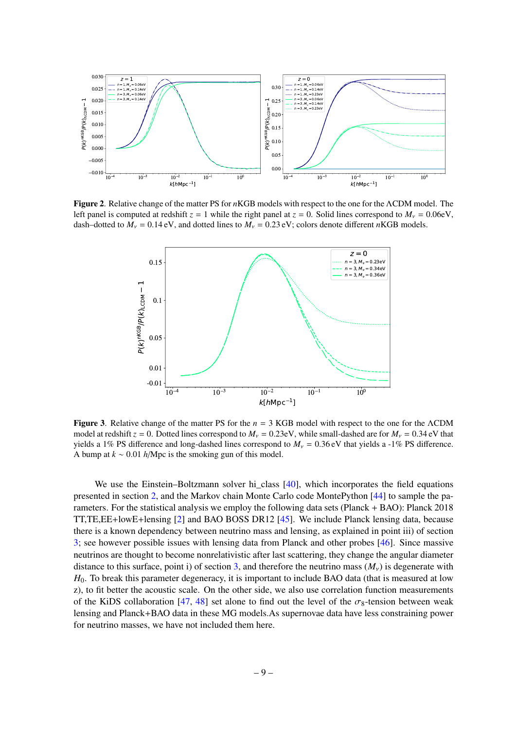

<span id="page-9-0"></span>Figure 2. Relative change of the matter PS for *n*KGB models with respect to the one for the ΛCDM model. The left panel is computed at redshift  $z = 1$  while the right panel at  $z = 0$ . Solid lines correspond to  $M<sub>v</sub> = 0.06$ eV, dash–dotted to  $M_v = 0.14 \text{ eV}$ , and dotted lines to  $M_v = 0.23 \text{ eV}$ ; colors denote different *n*KGB models.



<span id="page-9-1"></span>Figure 3. Relative change of the matter PS for the *n* = 3 KGB model with respect to the one for the ΛCDM model at redshift  $z = 0$ . Dotted lines correspond to  $M_v = 0.23$ eV, while small-dashed are for  $M_v = 0.34$ eV that yields a 1% PS difference and long-dashed lines correspond to  $M_v = 0.36 \text{ eV}$  that yields a -1% PS difference. A bump at *<sup>k</sup>* <sup>∼</sup> <sup>0</sup>.<sup>01</sup> *<sup>h</sup>*/Mpc is the smoking gun of this model.

We use the Einstein–Boltzmann solver hi\_class [\[40\]](#page-17-4), which incorporates the field equations presented in section [2,](#page-3-0) and the Markov chain Monte Carlo code MontePython [\[44\]](#page-17-8) to sample the parameters. For the statistical analysis we employ the following data sets (Planck + BAO): Planck 2018 TT,TE,EE+lowE+lensing [\[2\]](#page-15-1) and BAO BOSS DR12 [\[45\]](#page-17-9). We include Planck lensing data, because there is a known dependency between neutrino mass and lensing, as explained in point iii) of section [3;](#page-6-0) see however possible issues with lensing data from Planck and other probes [\[46\]](#page-17-10). Since massive neutrinos are thought to become nonrelativistic after last scattering, they change the angular diameter distance to this surface, point i) of section [3,](#page-6-0) and therefore the neutrino mass  $(M_v)$  is degenerate with *H*<sub>0</sub>. To break this parameter degeneracy, it is important to include BAO data (that is measured at low z), to fit better the acoustic scale. On the other side, we also use correlation function measurements of the KiDS collaboration [\[47,](#page-17-11) [48\]](#page-17-12) set alone to find out the level of the  $\sigma_8$ -tension between weak lensing and Planck+BAO data in these MG models.As supernovae data have less constraining power for neutrino masses, we have not included them here.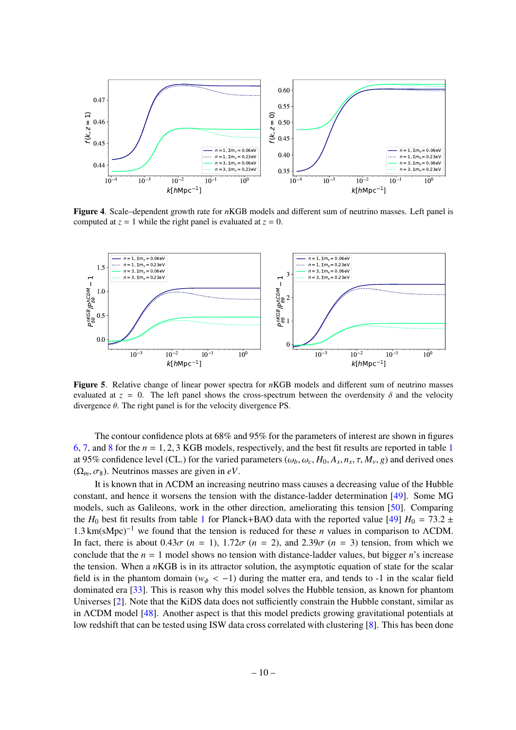

<span id="page-10-0"></span>Figure 4. Scale–dependent growth rate for *n*KGB models and different sum of neutrino masses. Left panel is computed at  $z = 1$  while the right panel is evaluated at  $z = 0$ .



<span id="page-10-1"></span>Figure 5. Relative change of linear power spectra for *n*KGB models and different sum of neutrino masses evaluated at  $z = 0$ . The left panel shows the cross-spectrum between the overdensity  $\delta$  and the velocity divergence  $\theta$ . The right panel is for the velocity divergence PS.

The contour confidence plots at 68% and 95% for the parameters of interest are shown in figures [6,](#page-11-0) [7,](#page-11-1) and [8](#page-12-0) for the *<sup>n</sup>* <sup>=</sup> <sup>1</sup>, <sup>2</sup>, 3 KGB models, respectively, and the best fit results are reported in table [1](#page-13-0) at 95% confidence level (CL.) for the varied parameters ( $\omega_b$ ,  $\omega_c$ ,  $H_0$ ,  $A_s$ ,  $n_s$ ,  $\tau$ ,  $M_v$ ,  $g$ ) and derived ones  $(\Omega_m, \sigma_8)$ . Neutrinos masses are given in *eV*.

It is known that in ΛCDM an increasing neutrino mass causes a decreasing value of the Hubble constant, and hence it worsens the tension with the distance-ladder determination [\[49\]](#page-17-13). Some MG models, such as Galileons, work in the other direction, ameliorating this tension [\[50\]](#page-17-14). Comparing the *H*<sub>0</sub> best fit results from table [1](#page-13-0) for Planck+BAO data with the reported value [\[49\]](#page-17-13)  $H_0 = 73.2 \pm 10^{-10}$ <sup>1</sup>.3 km(sMpc)−<sup>1</sup> we found that the tension is reduced for these *<sup>n</sup>* values in comparison to <sup>Λ</sup>CDM. In fact, there is about  $0.43\sigma$  ( $n = 1$ ),  $1.72\sigma$  ( $n = 2$ ), and  $2.39\sigma$  ( $n = 3$ ) tension, from which we conclude that the  $n = 1$  model shows no tension with distance-ladder values, but bigger *n*'s increase the tension. When a *n*KGB is in its attractor solution, the asymptotic equation of state for the scalar field is in the phantom domain ( $w_{\phi} < -1$ ) during the matter era, and tends to -1 in the scalar field dominated era [\[33\]](#page-16-18). This is reason why this model solves the Hubble tension, as known for phantom Universes [\[2\]](#page-15-1). Note that the KiDS data does not sufficiently constrain the Hubble constant, similar as in ΛCDM model [\[48\]](#page-17-12). Another aspect is that this model predicts growing gravitational potentials at low redshift that can be tested using ISW data cross correlated with clustering [\[8\]](#page-15-7). This has been done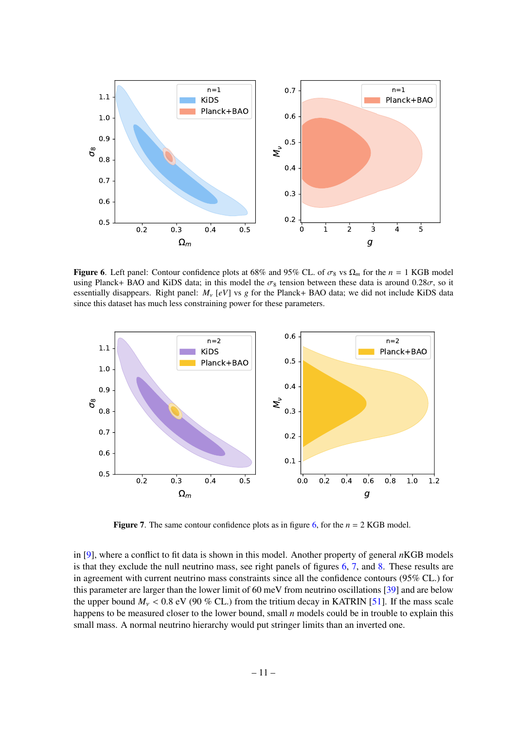

<span id="page-11-0"></span>Figure 6. Left panel: Contour confidence plots at 68% and 95% CL. of  $\sigma_8$  vs  $\Omega_m$  for the  $n = 1$  KGB model using Planck+ BAO and KiDS data; in this model the  $\sigma_8$  tension between these data is around 0.28 $\sigma$ , so it essentially disappears. Right panel:  $M_v$  [eV] vs g for the Planck+ BAO data; we did not include KiDS data since this dataset has much less constraining power for these parameters.



<span id="page-11-1"></span>**Figure 7.** The same contour confidence plots as in figure [6,](#page-11-0) for the  $n = 2$  KGB model.

in [\[9\]](#page-15-14), where a conflict to fit data is shown in this model. Another property of general *n*KGB models is that they exclude the null neutrino mass, see right panels of figures [6,](#page-11-0) [7,](#page-11-1) and [8.](#page-12-0) These results are in agreement with current neutrino mass constraints since all the confidence contours (95% CL.) for this parameter are larger than the lower limit of 60 meV from neutrino oscillations [\[39\]](#page-17-3) and are below the upper bound  $M_v < 0.8$  eV (90 % CL.) from the tritium decay in KATRIN [\[51\]](#page-17-15). If the mass scale happens to be measured closer to the lower bound, small *n* models could be in trouble to explain this small mass. A normal neutrino hierarchy would put stringer limits than an inverted one.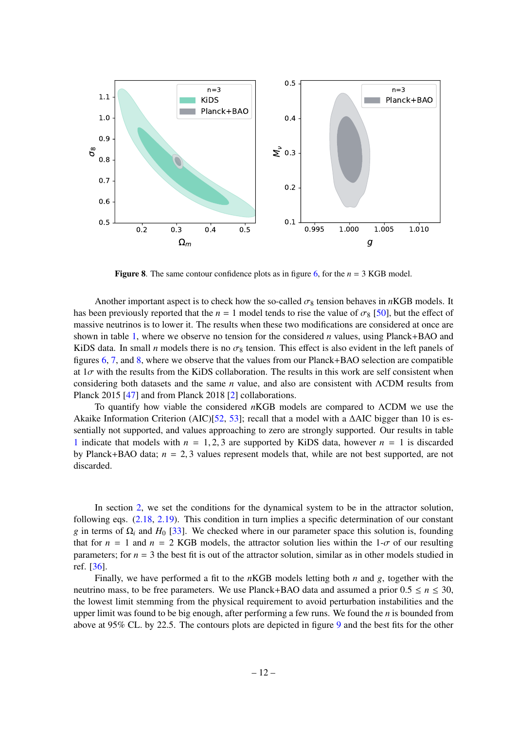

<span id="page-12-0"></span>**Figure 8.** The same contour confidence plots as in figure [6,](#page-11-0) for the  $n = 3$  KGB model.

Another important aspect is to check how the so-called  $\sigma_8$  tension behaves in *n*KGB models. It has been previously reported that the  $n = 1$  model tends to rise the value of  $\sigma_8$  [\[50\]](#page-17-14), but the effect of massive neutrinos is to lower it. The results when these two modifications are considered at once are shown in table [1,](#page-13-0) where we observe no tension for the considered *n* values, using Planck+BAO and KiDS data. In small *n* models there is no  $\sigma_8$  tension. This effect is also evident in the left panels of figures [6,](#page-11-0) [7,](#page-11-1) and [8,](#page-12-0) where we observe that the values from our Planck+BAO selection are compatible at  $1\sigma$  with the results from the KiDS collaboration. The results in this work are self consistent when considering both datasets and the same *n* value, and also are consistent with ΛCDM results from Planck 2015 [\[47\]](#page-17-11) and from Planck 2018 [\[2\]](#page-15-1) collaborations.

To quantify how viable the considered *n*KGB models are compared to ΛCDM we use the Akaike Information Criterion (AIC)[\[52,](#page-17-16) [53\]](#page-17-17); recall that a model with a ∆AIC bigger than 10 is essentially not supported, and values approaching to zero are strongly supported. Our results in table [1](#page-13-0) indicate that models with  $n = 1, 2, 3$  are supported by KiDS data, however  $n = 1$  is discarded by Planck+BAO data; *<sup>n</sup>* <sup>=</sup> <sup>2</sup>, 3 values represent models that, while are not best supported, are not discarded.

In section [2,](#page-3-0) we set the conditions for the dynamical system to be in the attractor solution, following eqs. [\(2.18,](#page-5-1) [2.19\)](#page-5-2). This condition in turn implies a specific determination of our constant *g* in terms of  $\Omega$ <sub>*i*</sub> and  $H_0$  [\[33\]](#page-16-18). We checked where in our parameter space this solution is, founding that for  $n = 1$  and  $n = 2$  KGB models, the attractor solution lies within the 1- $\sigma$  of our resulting parameters; for  $n = 3$  the best fit is out of the attractor solution, similar as in other models studied in ref. [\[36\]](#page-17-0).

Finally, we have performed a fit to the *n*KGB models letting both *n* and *g*, together with the neutrino mass, to be free parameters. We use Planck+BAO data and assumed a prior  $0.5 \le n \le 30$ , the lowest limit stemming from the physical requirement to avoid perturbation instabilities and the upper limit was found to be big enough, after performing a few runs. We found the *n* is bounded from above at 95% CL. by 22.5. The contours plots are depicted in figure [9](#page-13-1) and the best fits for the other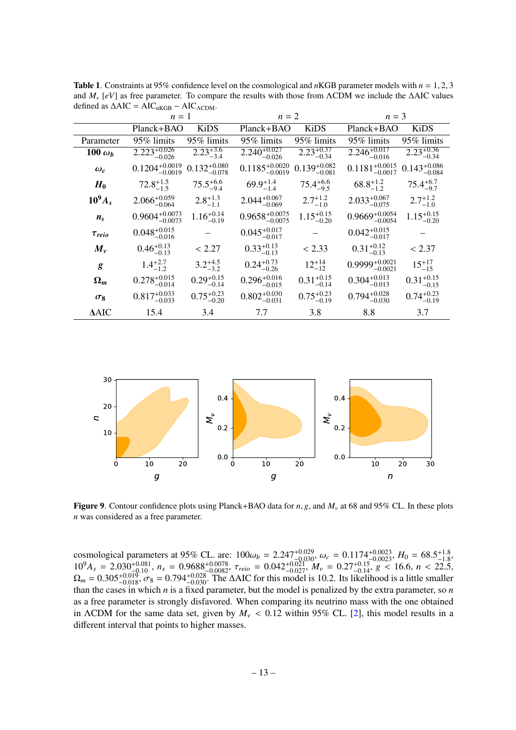|                | $n=1$                        |                           | $n=2$                            |                           | $n=3$                                 |                                   |
|----------------|------------------------------|---------------------------|----------------------------------|---------------------------|---------------------------------------|-----------------------------------|
|                | Planck+BAO                   | KiDS                      | Planck+BAO                       | <b>KiDS</b>               | Planck+BAO                            | <b>KiDS</b>                       |
| Parameter      | 95% limits                   | 95% limits                | 95% limits                       | 95% limits                | 95% limits                            | 95% limits                        |
| 100 $\omega_b$ | $2.223^{+0.026}_{-0.026}$    | $2.23^{+3.6}_{-3.4}$      | $2.240^{+0.027}_{-0.026}$        | $2.23_{-0.34}^{+0.37}$    | $2.246^{+0.017}_{-0.017}$<br>$-0.016$ | $2.23_{-0.34}^{+0.36}$            |
| $\omega_c$     | $0.1204^{+0.0019}_{-0.0019}$ | $0.132_{-0.078}^{+0.080}$ | $0.1185^{+0.0020}_{-0.0019}$     | $0.139_{-0.081}^{+0.082}$ | $0.1181^{+0.0015}_{-0.0017}$          | $0.143_{-0.084}^{+0.086}$         |
| $H_0$          | $72.8^{+1.5}_{-1.5}$         | $75.5^{+6.6}_{-9.4}$      | $69.9^{+1.4}_{-1.4}$             | $75.4^{+6.6}_{-9.5}$      | $68.8^{+1.2}_{-1.2}$                  | $75.4^{+6.7}_{-9.7}$              |
| $10^9A_s$      | $2.066_{-0.064}^{+0.059}$    | $2.8^{+1.3}_{-1.1}$       | $2.044_{-0.069}^{+0.067}$        | $2.7^{+1.2}_{-1.0}$       | $2.033_{-0.075}^{+0.067}$             | $2.7^{+1.2}_{-1.0}$               |
| $n_{\rm s}$    | $0.9604^{+0.0073}_{-0.0073}$ | $1.16_{-0.19}^{+0.14}$    | $0.9658^{+0.0075}_{-0.0075}$     | $1.15^{+0.15}_{-0.20}$    | $0.9669^{+0.0054}_{-0.0054}$          | $1.15_{-0.20}^{+0.15}$            |
| $\tau_{reio}$  | $0.048_{-0.016}^{+0.015}$    |                           | $0.045_{-0.017}^{+0.017}$        |                           | $0.042_{-0.017}^{+0.015}$             |                                   |
| $M_{\nu}$      | $0.46^{+0.13}_{-0.13}$       | < 2.27                    | $0.33_{-0.13}^{+0.13}$           | < 2.33                    | $0.31_{-0.13}^{+0.12}$                | < 2.37                            |
| g              | $1.4^{+2.7}_{-1.2}$          | $3.2^{+4.5}_{-3.2}$       | $0.24_{-0.26}^{+0.73}$           | $12^{+14}_{-12}$          | $0.9999^{+0.0021}_{-0.0021}$          | $15^{+17}_{-15}$                  |
| $\Omega_m$     | $0.278_{-0.014}^{+0.015}$    | $0.29_{-0.14}^{+0.15}$    | $0.296_{-0.015}^{+0.016}$        | $0.31_{-0.14}^{+0.15}$    | $0.304_{-0.013}^{+0.013}$             | $0.31_{-0.15}^{+0.15}$            |
| $\sigma_8$     | $0.817^{+0.033}_{-0.033}$    | $0.75_{-0.20}^{+0.23}$    | $0.802\substack{+0.030\\-0.031}$ | $0.75^{+0.23}_{-0.19}$    | $0.794_{-0.030}^{+0.028}$             | $0.74^{+0.23}_{-0.12}$<br>$-0.19$ |
| $\Delta AIC$   | 15.4                         | 3.4                       | 7.7                              | 3.8                       | 8.8                                   | 3.7                               |
|                |                              |                           |                                  |                           |                                       |                                   |

<span id="page-13-0"></span>Table 1. Constraints at 95% confidence level on the cosmological and *<sup>n</sup>*KGB parameter models with *<sup>n</sup>* <sup>=</sup> <sup>1</sup>, <sup>2</sup>, <sup>3</sup> and *<sup>M</sup>*ν [*eV*] as free parameter. To compare the results with those from <sup>Λ</sup>CDM we include the <sup>∆</sup>AIC values defined as  $\Delta AIC = AIC_{nKGB} - AIC_{\Lambda CDM}$ .



<span id="page-13-1"></span>Figure 9. Contour confidence plots using Planck+BAO data for *n*, *g*, and  $M_v$  at 68 and 95% CL. In these plots *n* was considered as a free parameter.

cosmological parameters at 95% CL. are:  $100\omega_b = 2.247^{+0.029}_{-0.030}$ ,  $\omega_c = 0.1174^{+0.0023}_{-0.0023}$ ,  $H_0 = 68.5^{+1.8}_{-1.8}$ ,<br> $10^9A = 2.030^{+0.081}$ ,  $n = 0.9688^{+0.0078}$ ,  $\tau_c = 0.042^{+0.021}$ ,  $M = 0.27^{+0.15}$ ,  $\sigma < 16$  $10^9A_s = 2.030^{+0.081}_{-0.10}$ ,  $n_s = 0.9688^{+0.0078}_{-0.0082}$ ,  $\tau_{reio} = 0.042^{+0.021}_{-0.027}$ ,  $M_v = 0.27^{+0.15}_{-0.14}$ ,  $g < 16.6$ ,  $n < 22.5$ ,  $\Omega_w = 0.305^{+0.019}$   $\sigma_s = 0.794^{+0.028}$  The AAIC for this model is 10.2. Its l  $\Omega_m = 0.305^{+0.019}_{-0.018}$ ,  $\sigma_8 = 0.794^{+0.028}_{-0.030}$ . The  $\Delta$ AIC for this model is 10.2. Its likelihood is a little smaller than the cases in which *n* is a fixed parameter, but the model is penalized by the extra p than the cases in which *n* is a fixed parameter, but the model is penalized by the extra parameter, so *n* as a free parameter is strongly disfavored. When comparing its neutrino mass with the one obtained in ΛCDM for the same data set, given by  $M_v < 0.12$  within 95% CL. [\[2\]](#page-15-1), this model results in a different interval that points to higher masses.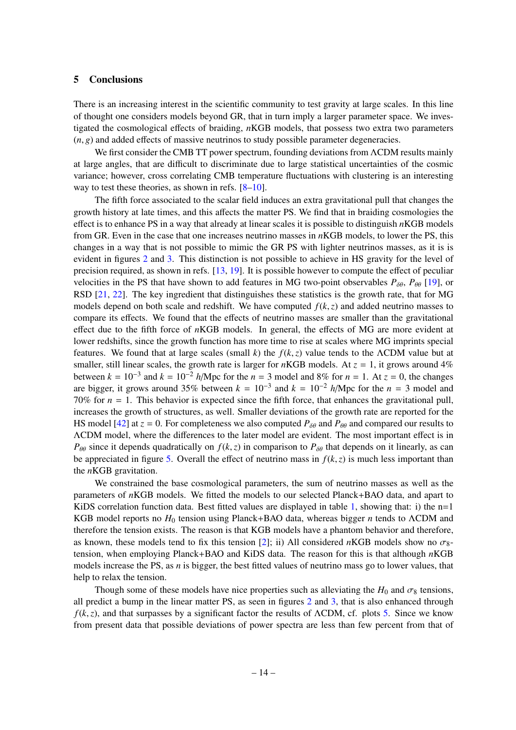# <span id="page-14-0"></span>5 Conclusions

There is an increasing interest in the scientific community to test gravity at large scales. In this line of thought one considers models beyond GR, that in turn imply a larger parameter space. We investigated the cosmological effects of braiding, *n*KGB models, that possess two extra two parameters  $(n, g)$  and added effects of massive neutrinos to study possible parameter degeneracies.

We first consider the CMB TT power spectrum, founding deviations from ΛCDM results mainly at large angles, that are difficult to discriminate due to large statistical uncertainties of the cosmic variance; however, cross correlating CMB temperature fluctuations with clustering is an interesting way to test these theories, as shown in refs. [\[8](#page-15-7)[–10\]](#page-15-8).

The fifth force associated to the scalar field induces an extra gravitational pull that changes the growth history at late times, and this affects the matter PS. We find that in braiding cosmologies the effect is to enhance PS in a way that already at linear scales it is possible to distinguish *n*KGB models from GR. Even in the case that one increases neutrino masses in *n*KGB models, to lower the PS, this changes in a way that is not possible to mimic the GR PS with lighter neutrinos masses, as it is is evident in figures [2](#page-9-0) and [3.](#page-9-1) This distinction is not possible to achieve in HS gravity for the level of precision required, as shown in refs. [\[13,](#page-15-11) [19\]](#page-16-3). It is possible however to compute the effect of peculiar velocities in the PS that have shown to add features in MG two-point observables  $P_{\delta\theta}$ ,  $P_{\theta\theta}$  [\[19\]](#page-16-3), or RSD [\[21,](#page-16-5) [22\]](#page-16-6). The key ingredient that distinguishes these statistics is the growth rate, that for MG models depend on both scale and redshift. We have computed  $f(k, z)$  and added neutrino masses to compare its effects. We found that the effects of neutrino masses are smaller than the gravitational effect due to the fifth force of *n*KGB models. In general, the effects of MG are more evident at lower redshifts, since the growth function has more time to rise at scales where MG imprints special features. We found that at large scales (small *<sup>k</sup>*) the *<sup>f</sup>*(*k*,*z*) value tends to the <sup>Λ</sup>CDM value but at smaller, still linear scales, the growth rate is larger for *n*KGB models. At  $z = 1$ , it grows around 4% between  $k = 10^{-3}$  and  $k = 10^{-2}$  *h*/Mpc for the  $n = 3$  model and 8% for  $n = 1$ . At  $z = 0$ , the changes are bigger, it grows around 35% between  $k = 10^{-3}$  and  $k = 10^{-2}$  *h*/Mpc for the  $n = 3$  model and 70% for  $n = 1$ . This behavior is expected since the fifth force, that enhances the gravitational pull, increases the growth of structures, as well. Smaller deviations of the growth rate are reported for the HS model [\[42\]](#page-17-6) at  $z = 0$ . For completeness we also computed  $P_{\delta\theta}$  and  $P_{\theta\theta}$  and compared our results to ΛCDM model, where the differences to the later model are evident. The most important effect is in *P*<sup>θθ</sup> since it depends quadratically on  $f(k, z)$  in comparison to  $P_{\delta\theta}$  that depends on it linearly, as can be appreciated in figure [5.](#page-10-1) Overall the effect of neutrino mass in  $f(k, z)$  is much less important than the *n*KGB gravitation.

We constrained the base cosmological parameters, the sum of neutrino masses as well as the parameters of *n*KGB models. We fitted the models to our selected Planck+BAO data, and apart to KiDS correlation function data. Best fitted values are displayed in table [1,](#page-13-0) showing that: i) the  $n=1$ KGB model reports no *H*<sup>0</sup> tension using Planck+BAO data, whereas bigger *n* tends to ΛCDM and therefore the tension exists. The reason is that KGB models have a phantom behavior and therefore, as known, these models tend to fix this tension [\[2\]](#page-15-1); ii) All considered *n*KGB models show no  $\sigma_{8}$ tension, when employing Planck+BAO and KiDS data. The reason for this is that although *n*KGB models increase the PS, as *n* is bigger, the best fitted values of neutrino mass go to lower values, that help to relax the tension.

Though some of these models have nice properties such as alleviating the  $H_0$  and  $\sigma_8$  tensions, all predict a bump in the linear matter PS, as seen in figures [2](#page-9-0) and [3,](#page-9-1) that is also enhanced through  $f(k, z)$ , and that surpasses by a significant factor the results of  $\Lambda$ CDM, cf. plots [5.](#page-10-1) Since we know from present data that possible deviations of power spectra are less than few percent from that of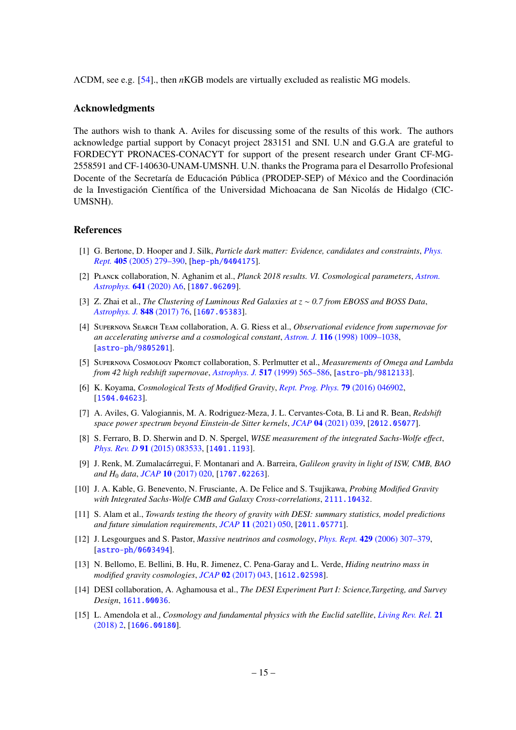ΛCDM, see e.g. [\[54\]](#page-17-18)., then *n*KGB models are virtually excluded as realistic MG models.

# Acknowledgments

The authors wish to thank A. Aviles for discussing some of the results of this work. The authors acknowledge partial support by Conacyt project 283151 and SNI. U.N and G.G.A are grateful to FORDECYT PRONACES-CONACYT for support of the present research under Grant CF-MG-2558591 and CF-140630-UNAM-UMSNH. U.N. thanks the Programa para el Desarrollo Profesional Docente of the Secretaría de Educación Pública (PRODEP-SEP) of México and the Coordinación de la Investigación Científica of the Universidad Michoacana de San Nicolás de Hidalgo (CIC-UMSNH).

#### References

- <span id="page-15-0"></span>[1] G. Bertone, D. Hooper and J. Silk, *Particle dark matter: Evidence, candidates and constraints*, *[Phys.](http://dx.doi.org/10.1016/j.physrep.2004.08.031) Rept.* 405 [\(2005\) 279–390,](http://dx.doi.org/10.1016/j.physrep.2004.08.031) [[hep-ph/0404175](http://arxiv.org/abs/hep-ph/0404175)].
- <span id="page-15-1"></span>[2] Planck collaboration, N. Aghanim et al., *Planck 2018 results. VI. Cosmological parameters*, *[Astron.](http://dx.doi.org/10.1051/0004-6361/201833910) Astrophys.* 641 [\(2020\) A6,](http://dx.doi.org/10.1051/0004-6361/201833910) [[1807.06209](http://arxiv.org/abs/1807.06209)].
- <span id="page-15-2"></span>[3] Z. Zhai et al., *The Clustering of Luminous Red Galaxies at z* ∼ *0.7 from EBOSS and BOSS Data*, *[Astrophys. J.](http://dx.doi.org/10.3847/1538-4357/aa8eee)* 848 (2017) 76, [[1607.05383](http://arxiv.org/abs/1607.05383)].
- <span id="page-15-3"></span>[4] Supernova Search Team collaboration, A. G. Riess et al., *Observational evidence from supernovae for an accelerating universe and a cosmological constant*, *Astron. J.* 116 [\(1998\) 1009–1038,](http://dx.doi.org/10.1086/300499) [[astro-ph/9805201](http://arxiv.org/abs/astro-ph/9805201)].
- <span id="page-15-4"></span>[5] Supernova Cosmology Project collaboration, S. Perlmutter et al., *Measurements of Omega and Lambda from 42 high redshift supernovae*, *Astrophys. J.* 517 [\(1999\) 565–586,](http://dx.doi.org/10.1086/307221) [[astro-ph/9812133](http://arxiv.org/abs/astro-ph/9812133)].
- <span id="page-15-5"></span>[6] K. Koyama, *Cosmological Tests of Modified Gravity*, *[Rept. Prog. Phys.](http://dx.doi.org/10.1088/0034-4885/79/4/046902)* 79 (2016) 046902, [[1504.04623](http://arxiv.org/abs/1504.04623)].
- <span id="page-15-6"></span>[7] A. Aviles, G. Valogiannis, M. A. Rodriguez-Meza, J. L. Cervantes-Cota, B. Li and R. Bean, *Redshift space power spectrum beyond Einstein-de Sitter kernels*, *JCAP* 04 [\(2021\) 039,](http://dx.doi.org/10.1088/1475-7516/2021/04/039) [[2012.05077](http://arxiv.org/abs/2012.05077)].
- <span id="page-15-7"></span>[8] S. Ferraro, B. D. Sherwin and D. N. Spergel, *WISE measurement of the integrated Sachs-Wolfe e*ff*ect*, *Phys. Rev. D* 91 [\(2015\) 083533,](http://dx.doi.org/10.1103/PhysRevD.91.083533) [[1401.1193](http://arxiv.org/abs/1401.1193)].
- <span id="page-15-14"></span>[9] J. Renk, M. Zumalacárregui, F. Montanari and A. Barreira, *Galileon gravity in light of ISW, CMB, BAO and H*<sup>0</sup> *data*, *JCAP* 10 [\(2017\) 020,](http://dx.doi.org/10.1088/1475-7516/2017/10/020) [[1707.02263](http://arxiv.org/abs/1707.02263)].
- <span id="page-15-8"></span>[10] J. A. Kable, G. Benevento, N. Frusciante, A. De Felice and S. Tsujikawa, *Probing Modified Gravity with Integrated Sachs-Wolfe CMB and Galaxy Cross-correlations*, [2111.10432](http://arxiv.org/abs/2111.10432).
- <span id="page-15-9"></span>[11] S. Alam et al., *Towards testing the theory of gravity with DESI: summary statistics, model predictions and future simulation requirements*, *JCAP* 11 [\(2021\) 050,](http://dx.doi.org/10.1088/1475-7516/2021/11/050) [[2011.05771](http://arxiv.org/abs/2011.05771)].
- <span id="page-15-10"></span>[12] J. Lesgourgues and S. Pastor, *Massive neutrinos and cosmology*, *Phys. Rept.* 429 [\(2006\) 307–379,](http://dx.doi.org/10.1016/j.physrep.2006.04.001) [[astro-ph/0603494](http://arxiv.org/abs/astro-ph/0603494)].
- <span id="page-15-11"></span>[13] N. Bellomo, E. Bellini, B. Hu, R. Jimenez, C. Pena-Garay and L. Verde, *Hiding neutrino mass in modified gravity cosmologies*, *JCAP* 02 [\(2017\) 043,](http://dx.doi.org/10.1088/1475-7516/2017/02/043) [[1612.02598](http://arxiv.org/abs/1612.02598)].
- <span id="page-15-12"></span>[14] DESI collaboration, A. Aghamousa et al., *The DESI Experiment Part I: Science,Targeting, and Survey Design*, [1611.00036](http://arxiv.org/abs/1611.00036).
- <span id="page-15-13"></span>[15] L. Amendola et al., *Cosmology and fundamental physics with the Euclid satellite*, *[Living Rev. Rel.](http://dx.doi.org/10.1007/s41114-017-0010-3)* 21 [\(2018\) 2,](http://dx.doi.org/10.1007/s41114-017-0010-3) [[1606.00180](http://arxiv.org/abs/1606.00180)].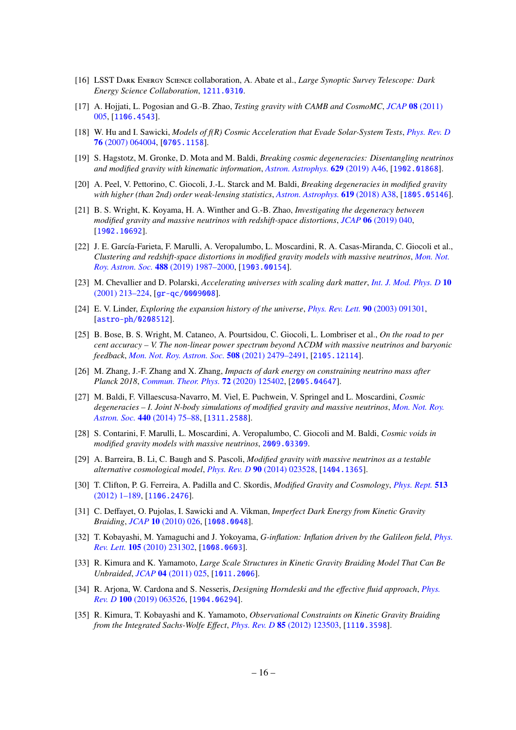- <span id="page-16-0"></span>[16] LSST Dark Energy Science collaboration, A. Abate et al., *Large Synoptic Survey Telescope: Dark Energy Science Collaboration*, [1211.0310](http://arxiv.org/abs/1211.0310).
- <span id="page-16-1"></span>[17] A. Hojjati, L. Pogosian and G.-B. Zhao, *Testing gravity with CAMB and CosmoMC*, *JCAP* 08 [\(2011\)](http://dx.doi.org/10.1088/1475-7516/2011/08/005) [005,](http://dx.doi.org/10.1088/1475-7516/2011/08/005) [[1106.4543](http://arxiv.org/abs/1106.4543)].
- <span id="page-16-2"></span>[18] W. Hu and I. Sawicki, *Models of f(R) Cosmic Acceleration that Evade Solar-System Tests*, *[Phys. Rev. D](http://dx.doi.org/10.1103/PhysRevD.76.064004)* 76 [\(2007\) 064004,](http://dx.doi.org/10.1103/PhysRevD.76.064004) [[0705.1158](http://arxiv.org/abs/0705.1158)].
- <span id="page-16-3"></span>[19] S. Hagstotz, M. Gronke, D. Mota and M. Baldi, *Breaking cosmic degeneracies: Disentangling neutrinos and modified gravity with kinematic information*, *[Astron. Astrophys.](http://dx.doi.org/10.1051/0004-6361/201935213)* 629 (2019) A46, [[1902.01868](http://arxiv.org/abs/1902.01868)].
- <span id="page-16-4"></span>[20] A. Peel, V. Pettorino, C. Giocoli, J.-L. Starck and M. Baldi, *Breaking degeneracies in modified gravity with higher (than 2nd) order weak-lensing statistics*, *[Astron. Astrophys.](http://dx.doi.org/10.1051/0004-6361/201833481)* 619 (2018) A38, [[1805.05146](http://arxiv.org/abs/1805.05146)].
- <span id="page-16-5"></span>[21] B. S. Wright, K. Koyama, H. A. Winther and G.-B. Zhao, *Investigating the degeneracy between modified gravity and massive neutrinos with redshift-space distortions*, *JCAP* 06 [\(2019\) 040,](http://dx.doi.org/10.1088/1475-7516/2019/06/040) [[1902.10692](http://arxiv.org/abs/1902.10692)].
- <span id="page-16-6"></span>[22] J. E. García-Farieta, F. Marulli, A. Veropalumbo, L. Moscardini, R. A. Casas-Miranda, C. Giocoli et al., *Clustering and redshift-space distortions in modified gravity models with massive neutrinos*, *[Mon. Not.](http://dx.doi.org/10.1093/mnras/stz1850) Roy. Astron. Soc.* 488 [\(2019\) 1987–2000,](http://dx.doi.org/10.1093/mnras/stz1850) [[1903.00154](http://arxiv.org/abs/1903.00154)].
- <span id="page-16-7"></span>[23] M. Chevallier and D. Polarski, *Accelerating universes with scaling dark matter*, *[Int. J. Mod. Phys. D](http://dx.doi.org/10.1142/S0218271801000822)* 10 [\(2001\) 213–224,](http://dx.doi.org/10.1142/S0218271801000822) [[gr-qc/0009008](http://arxiv.org/abs/gr-qc/0009008)].
- <span id="page-16-8"></span>[24] E. V. Linder, *Exploring the expansion history of the universe*, *[Phys. Rev. Lett.](http://dx.doi.org/10.1103/PhysRevLett.90.091301)* 90 (2003) 091301, [[astro-ph/0208512](http://arxiv.org/abs/astro-ph/0208512)].
- <span id="page-16-9"></span>[25] B. Bose, B. S. Wright, M. Cataneo, A. Pourtsidou, C. Giocoli, L. Lombriser et al., *On the road to per cent accuracy – V. The non-linear power spectrum beyond* Λ*CDM with massive neutrinos and baryonic feedback*, *[Mon. Not. Roy. Astron. Soc.](http://dx.doi.org/10.1093/mnras/stab2731)* 508 (2021) 2479–2491, [[2105.12114](http://arxiv.org/abs/2105.12114)].
- <span id="page-16-10"></span>[26] M. Zhang, J.-F. Zhang and X. Zhang, *Impacts of dark energy on constraining neutrino mass after Planck 2018*, *[Commun. Theor. Phys.](http://dx.doi.org/10.1088/1572-9494/abbb84)* 72 (2020) 125402, [[2005.04647](http://arxiv.org/abs/2005.04647)].
- <span id="page-16-11"></span>[27] M. Baldi, F. Villaescusa-Navarro, M. Viel, E. Puchwein, V. Springel and L. Moscardini, *Cosmic degeneracies – I. Joint N-body simulations of modified gravity and massive neutrinos*, *[Mon. Not. Roy.](http://dx.doi.org/10.1093/mnras/stu259) Astron. Soc.* 440 [\(2014\) 75–88,](http://dx.doi.org/10.1093/mnras/stu259) [[1311.2588](http://arxiv.org/abs/1311.2588)].
- <span id="page-16-12"></span>[28] S. Contarini, F. Marulli, L. Moscardini, A. Veropalumbo, C. Giocoli and M. Baldi, *Cosmic voids in modified gravity models with massive neutrinos*, [2009.03309](http://arxiv.org/abs/2009.03309).
- <span id="page-16-13"></span>[29] A. Barreira, B. Li, C. Baugh and S. Pascoli, *Modified gravity with massive neutrinos as a testable alternative cosmological model*, *Phys. Rev. D* 90 [\(2014\) 023528,](http://dx.doi.org/10.1103/PhysRevD.90.023528) [[1404.1365](http://arxiv.org/abs/1404.1365)].
- <span id="page-16-14"></span>[30] T. Clifton, P. G. Ferreira, A. Padilla and C. Skordis, *Modified Gravity and Cosmology*, *[Phys. Rept.](http://dx.doi.org/10.1016/j.physrep.2012.01.001)* 513 [\(2012\) 1–189,](http://dx.doi.org/10.1016/j.physrep.2012.01.001) [[1106.2476](http://arxiv.org/abs/1106.2476)].
- <span id="page-16-15"></span>[31] C. Deffayet, O. Pujolas, I. Sawicki and A. Vikman, *Imperfect Dark Energy from Kinetic Gravity Braiding*, *JCAP* 10 [\(2010\) 026,](http://dx.doi.org/10.1088/1475-7516/2010/10/026) [[1008.0048](http://arxiv.org/abs/1008.0048)].
- <span id="page-16-19"></span>[32] T. Kobayashi, M. Yamaguchi and J. Yokoyama, *G-inflation: Inflation driven by the Galileon field*, *[Phys.](http://dx.doi.org/10.1103/PhysRevLett.105.231302) Rev. Lett.* 105 [\(2010\) 231302,](http://dx.doi.org/10.1103/PhysRevLett.105.231302) [[1008.0603](http://arxiv.org/abs/1008.0603)].
- <span id="page-16-18"></span>[33] R. Kimura and K. Yamamoto, *Large Scale Structures in Kinetic Gravity Braiding Model That Can Be Unbraided*, *JCAP* 04 [\(2011\) 025,](http://dx.doi.org/10.1088/1475-7516/2011/04/025) [[1011.2006](http://arxiv.org/abs/1011.2006)].
- <span id="page-16-16"></span>[34] R. Arjona, W. Cardona and S. Nesseris, *Designing Horndeski and the e*ff*ective fluid approach*, *[Phys.](http://dx.doi.org/10.1103/PhysRevD.100.063526) Rev. D* 100 [\(2019\) 063526,](http://dx.doi.org/10.1103/PhysRevD.100.063526) [[1904.06294](http://arxiv.org/abs/1904.06294)].
- <span id="page-16-17"></span>[35] R. Kimura, T. Kobayashi and K. Yamamoto, *Observational Constraints on Kinetic Gravity Braiding from the Integrated Sachs-Wolfe E*ff*ect*, *Phys. Rev. D* 85 [\(2012\) 123503,](http://dx.doi.org/10.1103/PhysRevD.85.123503) [[1110.3598](http://arxiv.org/abs/1110.3598)].